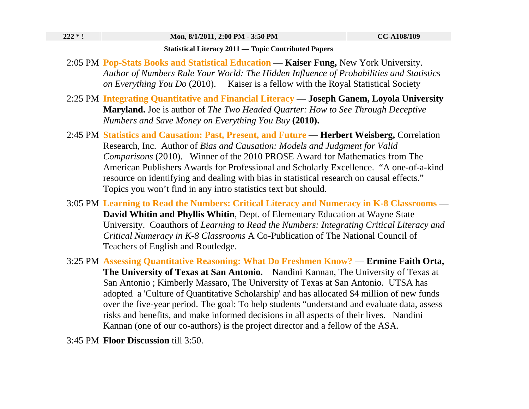## **Statistical Literacy 2011 — Topic Contributed Papers**

- 2:05 PM **Pop-Stats Books and Statistical Education Kaiser Fung,** New York University. *Author of Numbers Rule Your World: The Hidden Influence of Probabilities and Statistics on Everything You Do* (2010). Kaiser is a fellow with the Royal Statistical Society
- 2:25 PM **Integrating Quantitative and Financial Literacy Joseph Ganem, Loyola University Maryland.** Joe is author of *The Two Headed Quarter: How to See Through Deceptive Numbers and Save Money on Everything You Buy* **(2010).**
- 2:45 PM **Statistics and Causation: Past, Present, and Future Herbert Weisberg,** Correlation Research, Inc. Author of *Bias and Causation: Models and Judgment for Valid Comparisons* (2010). Winner of the 2010 PROSE Award for Mathematics from The American Publishers Awards for Professional and Scholarly Excellence. "A one-of-a-kind resource on identifying and dealing with bias in statistical research on causal effects." Topics you won't find in any intro statistics text but should.
- 3:05 PM **Learning to Read the Numbers: Critical Literacy and Numeracy in K-8 Classrooms David Whitin and Phyllis Whitin**, Dept. of Elementary Education at Wayne State University. Coauthors of *Learning to Read the Numbers: Integrating Critical Literacy and Critical Numeracy in K-8 Classrooms* A Co-Publication of The National Council of Teachers of English and Routledge.
- 3:25 PM **Assessing Quantitative Reasoning: What Do Freshmen Know? Ermine Faith Orta, The University of Texas at San Antonio.** Nandini Kannan, The University of Texas at San Antonio ; Kimberly Massaro, The University of Texas at San Antonio. UTSA has adopted a 'Culture of Quantitative Scholarship' and has allocated \$4 million of new funds over the five-year period. The goal: To help students "understand and evaluate data, assess risks and benefits, and make informed decisions in all aspects of their lives. Nandini Kannan (one of our co-authors) is the project director and a fellow of the ASA.
- 3:45 PM **Floor Discussion** till 3:50.